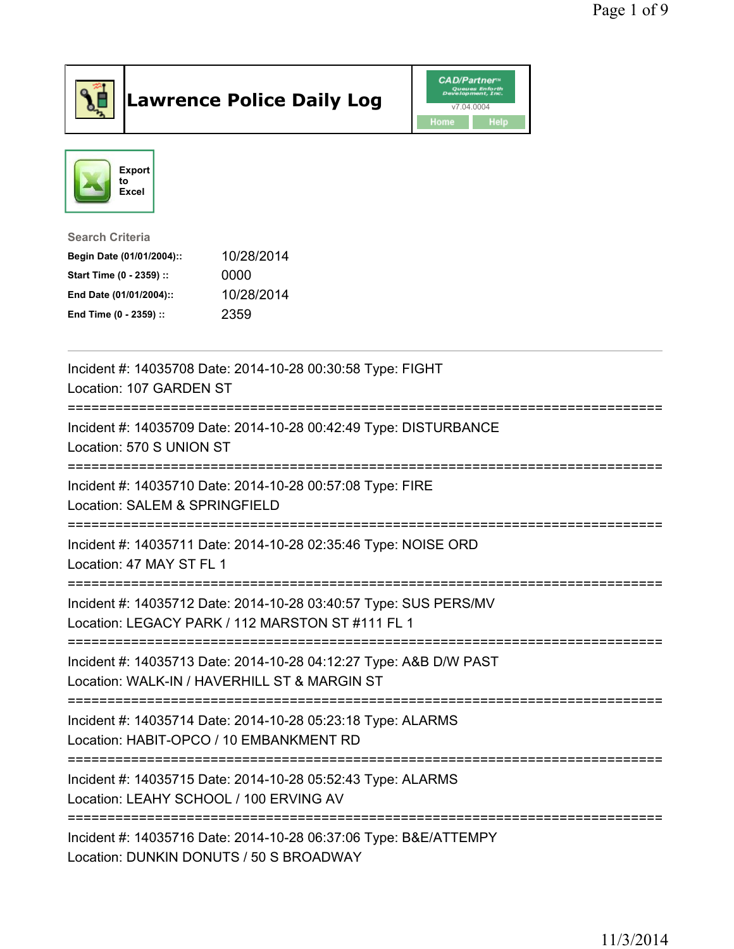

## Lawrence Police Daily Log **Daniel CAD/Partner**





Search Criteria Begin Date (01/01/2004):: 10/28/2014 Start Time (0 - 2359) :: 0000 End Date (01/01/2004):: 10/28/2014 End Time (0 - 2359) :: 2359

| Incident #: 14035708 Date: 2014-10-28 00:30:58 Type: FIGHT<br>Location: 107 GARDEN ST<br>-------------------<br>============================== |
|------------------------------------------------------------------------------------------------------------------------------------------------|
| Incident #: 14035709 Date: 2014-10-28 00:42:49 Type: DISTURBANCE<br>Location: 570 S UNION ST<br>;======================                        |
| Incident #: 14035710 Date: 2014-10-28 00:57:08 Type: FIRE<br>Location: SALEM & SPRINGFIELD                                                     |
| Incident #: 14035711 Date: 2014-10-28 02:35:46 Type: NOISE ORD<br>Location: 47 MAY ST FL 1                                                     |
| Incident #: 14035712 Date: 2014-10-28 03:40:57 Type: SUS PERS/MV<br>Location: LEGACY PARK / 112 MARSTON ST #111 FL 1                           |
| Incident #: 14035713 Date: 2014-10-28 04:12:27 Type: A&B D/W PAST<br>Location: WALK-IN / HAVERHILL ST & MARGIN ST                              |
| Incident #: 14035714 Date: 2014-10-28 05:23:18 Type: ALARMS<br>Location: HABIT-OPCO / 10 EMBANKMENT RD<br>===============================      |
| Incident #: 14035715 Date: 2014-10-28 05:52:43 Type: ALARMS<br>Location: LEAHY SCHOOL / 100 ERVING AV                                          |
| Incident #: 14035716 Date: 2014-10-28 06:37:06 Type: B&E/ATTEMPY<br>Location: DUNKIN DONUTS / 50 S BROADWAY                                    |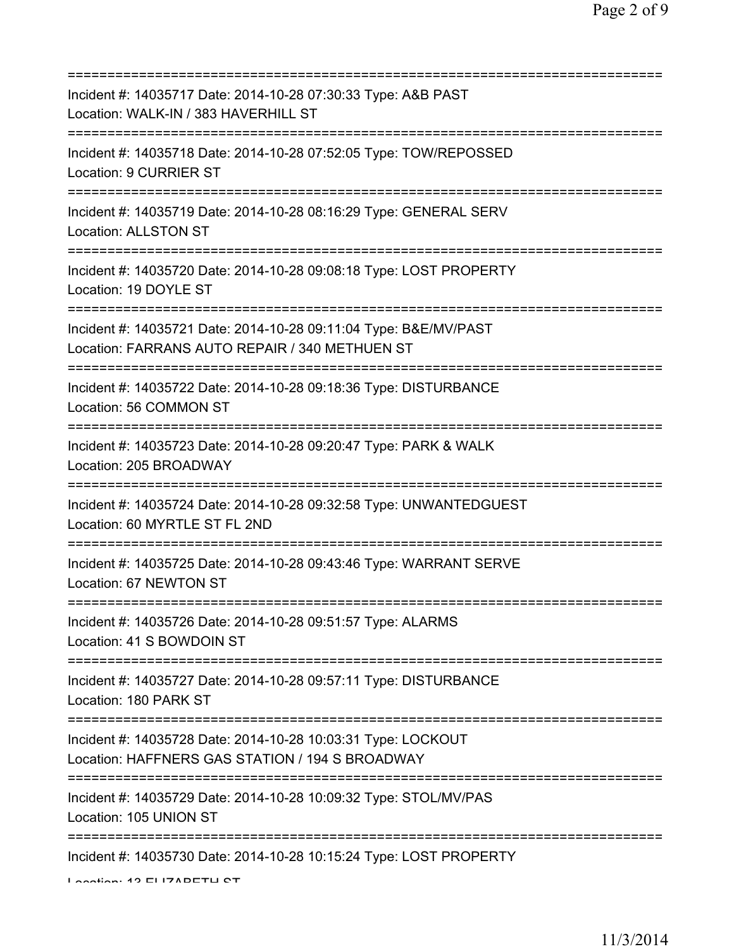| Incident #: 14035717 Date: 2014-10-28 07:30:33 Type: A&B PAST<br>Location: WALK-IN / 383 HAVERHILL ST<br>============================<br>========= |
|----------------------------------------------------------------------------------------------------------------------------------------------------|
| Incident #: 14035718 Date: 2014-10-28 07:52:05 Type: TOW/REPOSSED<br>Location: 9 CURRIER ST                                                        |
| Incident #: 14035719 Date: 2014-10-28 08:16:29 Type: GENERAL SERV<br><b>Location: ALLSTON ST</b>                                                   |
| Incident #: 14035720 Date: 2014-10-28 09:08:18 Type: LOST PROPERTY<br>Location: 19 DOYLE ST                                                        |
| Incident #: 14035721 Date: 2014-10-28 09:11:04 Type: B&E/MV/PAST<br>Location: FARRANS AUTO REPAIR / 340 METHUEN ST                                 |
| Incident #: 14035722 Date: 2014-10-28 09:18:36 Type: DISTURBANCE<br>Location: 56 COMMON ST<br>;===================================                 |
| Incident #: 14035723 Date: 2014-10-28 09:20:47 Type: PARK & WALK<br>Location: 205 BROADWAY                                                         |
| Incident #: 14035724 Date: 2014-10-28 09:32:58 Type: UNWANTEDGUEST<br>Location: 60 MYRTLE ST FL 2ND                                                |
| Incident #: 14035725 Date: 2014-10-28 09:43:46 Type: WARRANT SERVE<br>Location: 67 NEWTON ST                                                       |
| Incident #: 14035726 Date: 2014-10-28 09:51:57 Type: ALARMS<br>Location: 41 S BOWDOIN ST                                                           |
| Incident #: 14035727 Date: 2014-10-28 09:57:11 Type: DISTURBANCE<br>Location: 180 PARK ST                                                          |
| Incident #: 14035728 Date: 2014-10-28 10:03:31 Type: LOCKOUT<br>Location: HAFFNERS GAS STATION / 194 S BROADWAY                                    |
| <u> :===============</u><br>Incident #: 14035729 Date: 2014-10-28 10:09:32 Type: STOL/MV/PAS<br>Location: 105 UNION ST                             |
| Incident #: 14035730 Date: 2014-10-28 10:15:24 Type: LOST PROPERTY<br>Lootion: 49 ELIZADETLI OT                                                    |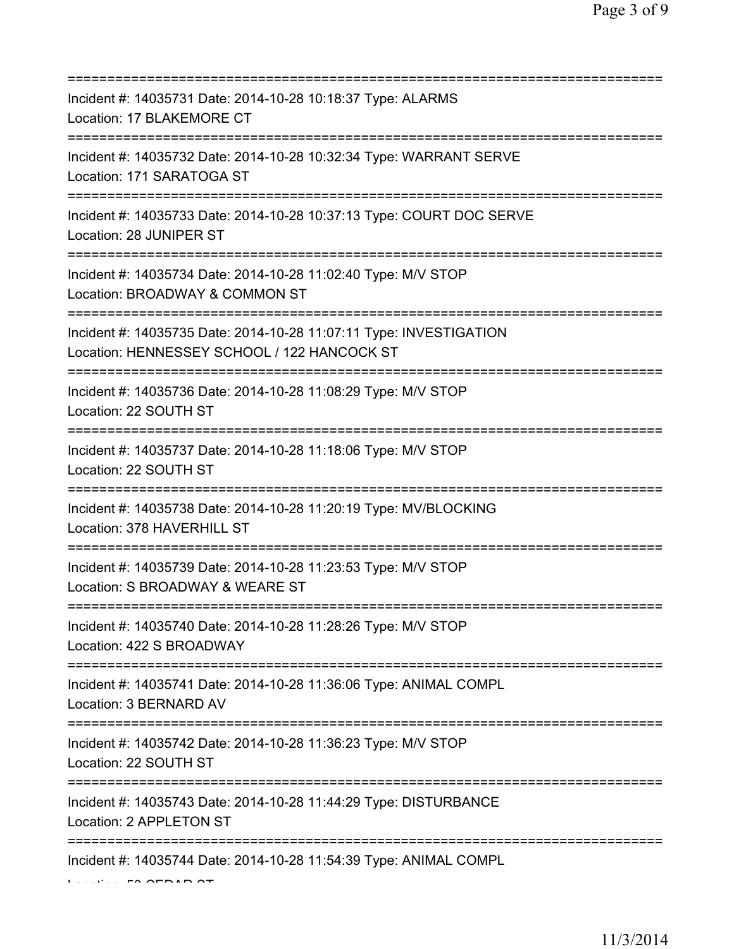| Incident #: 14035731 Date: 2014-10-28 10:18:37 Type: ALARMS<br>Location: 17 BLAKEMORE CT                                              |
|---------------------------------------------------------------------------------------------------------------------------------------|
| Incident #: 14035732 Date: 2014-10-28 10:32:34 Type: WARRANT SERVE<br>Location: 171 SARATOGA ST                                       |
| Incident #: 14035733 Date: 2014-10-28 10:37:13 Type: COURT DOC SERVE<br>Location: 28 JUNIPER ST                                       |
| Incident #: 14035734 Date: 2014-10-28 11:02:40 Type: M/V STOP<br>Location: BROADWAY & COMMON ST<br>.--------------------              |
| Incident #: 14035735 Date: 2014-10-28 11:07:11 Type: INVESTIGATION<br>Location: HENNESSEY SCHOOL / 122 HANCOCK ST                     |
| Incident #: 14035736 Date: 2014-10-28 11:08:29 Type: M/V STOP<br>Location: 22 SOUTH ST                                                |
| ==============================<br>Incident #: 14035737 Date: 2014-10-28 11:18:06 Type: M/V STOP<br>Location: 22 SOUTH ST              |
| ================================<br>Incident #: 14035738 Date: 2014-10-28 11:20:19 Type: MV/BLOCKING<br>Location: 378 HAVERHILL ST    |
| ---------------------------------<br>Incident #: 14035739 Date: 2014-10-28 11:23:53 Type: M/V STOP<br>Location: S BROADWAY & WEARE ST |
| Incident #: 14035740 Date: 2014-10-28 11:28:26 Type: M/V STOP<br>Location: 422 S BROADWAY                                             |
| Incident #: 14035741 Date: 2014-10-28 11:36:06 Type: ANIMAL COMPL<br>Location: 3 BERNARD AV                                           |
| Incident #: 14035742 Date: 2014-10-28 11:36:23 Type: M/V STOP<br>Location: 22 SOUTH ST                                                |
| Incident #: 14035743 Date: 2014-10-28 11:44:29 Type: DISTURBANCE<br>Location: 2 APPLETON ST                                           |
| Incident #: 14035744 Date: 2014-10-28 11:54:39 Type: ANIMAL COMPL                                                                     |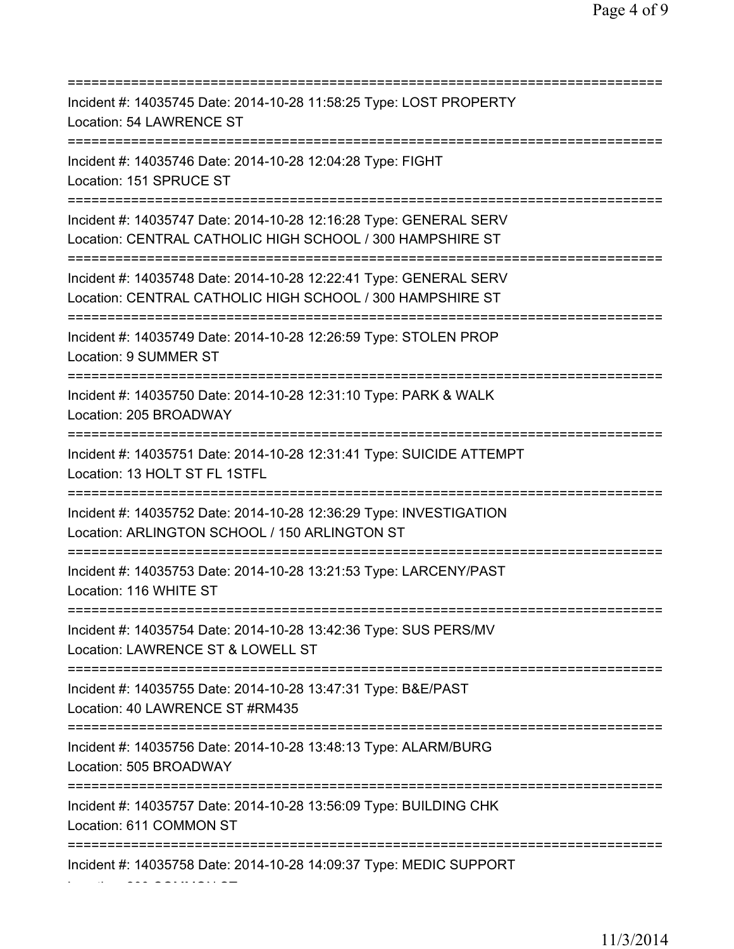=========================================================================== Incident #: 14035745 Date: 2014-10-28 11:58:25 Type: LOST PROPERTY Location: 54 LAWRENCE ST =========================================================================== Incident #: 14035746 Date: 2014-10-28 12:04:28 Type: FIGHT Location: 151 SPRUCE ST =========================================================================== Incident #: 14035747 Date: 2014-10-28 12:16:28 Type: GENERAL SERV Location: CENTRAL CATHOLIC HIGH SCHOOL / 300 HAMPSHIRE ST =========================================================================== Incident #: 14035748 Date: 2014-10-28 12:22:41 Type: GENERAL SERV Location: CENTRAL CATHOLIC HIGH SCHOOL / 300 HAMPSHIRE ST =========================================================================== Incident #: 14035749 Date: 2014-10-28 12:26:59 Type: STOLEN PROP Location: 9 SUMMER ST =========================================================================== Incident #: 14035750 Date: 2014-10-28 12:31:10 Type: PARK & WALK Location: 205 BROADWAY =========================================================================== Incident #: 14035751 Date: 2014-10-28 12:31:41 Type: SUICIDE ATTEMPT Location: 13 HOLT ST FL 1STFL =========================================================================== Incident #: 14035752 Date: 2014-10-28 12:36:29 Type: INVESTIGATION Location: ARLINGTON SCHOOL / 150 ARLINGTON ST =========================================================================== Incident #: 14035753 Date: 2014-10-28 13:21:53 Type: LARCENY/PAST Location: 116 WHITE ST =========================================================================== Incident #: 14035754 Date: 2014-10-28 13:42:36 Type: SUS PERS/MV Location: LAWRENCE ST & LOWELL ST =========================================================================== Incident #: 14035755 Date: 2014-10-28 13:47:31 Type: B&E/PAST Location: 40 LAWRENCE ST #RM435 =========================================================================== Incident #: 14035756 Date: 2014-10-28 13:48:13 Type: ALARM/BURG Location: 505 BROADWAY =========================================================================== Incident #: 14035757 Date: 2014-10-28 13:56:09 Type: BUILDING CHK Location: 611 COMMON ST =========================================================================== Incident #: 14035758 Date: 2014-10-28 14:09:37 Type: MEDIC SUPPORT Location: 200 COMMON ST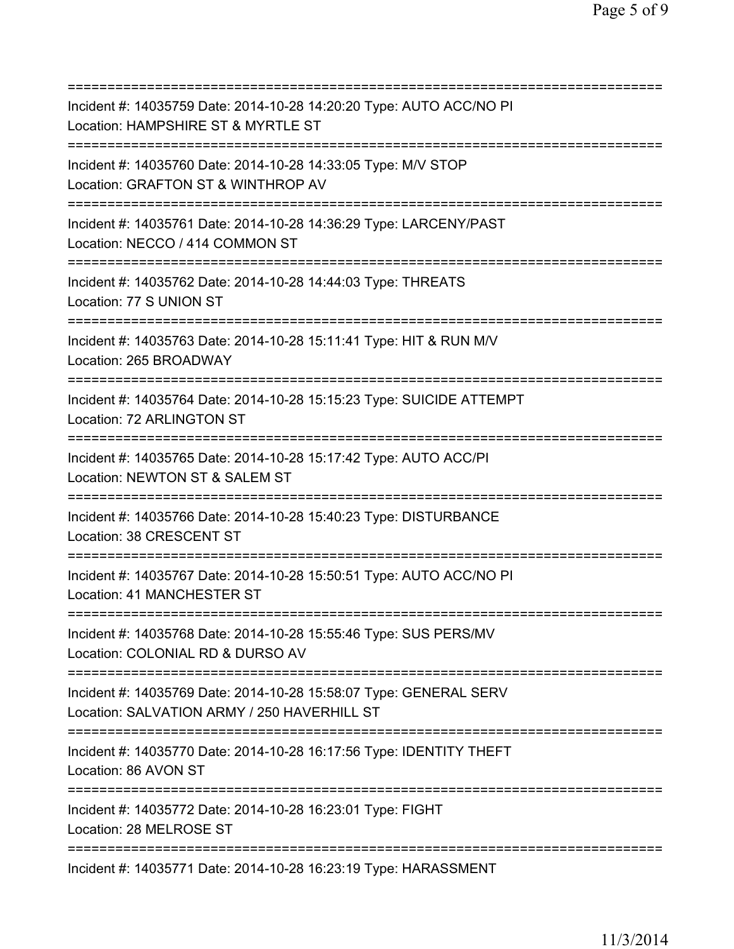| Incident #: 14035759 Date: 2014-10-28 14:20:20 Type: AUTO ACC/NO PI<br>Location: HAMPSHIRE ST & MYRTLE ST<br>========================= |
|----------------------------------------------------------------------------------------------------------------------------------------|
| Incident #: 14035760 Date: 2014-10-28 14:33:05 Type: M/V STOP<br>Location: GRAFTON ST & WINTHROP AV<br>==========================      |
| Incident #: 14035761 Date: 2014-10-28 14:36:29 Type: LARCENY/PAST<br>Location: NECCO / 414 COMMON ST<br>=======================        |
| Incident #: 14035762 Date: 2014-10-28 14:44:03 Type: THREATS<br>Location: 77 S UNION ST<br>======================================      |
| Incident #: 14035763 Date: 2014-10-28 15:11:41 Type: HIT & RUN M/V<br>Location: 265 BROADWAY<br>==========================             |
| Incident #: 14035764 Date: 2014-10-28 15:15:23 Type: SUICIDE ATTEMPT<br>Location: 72 ARLINGTON ST                                      |
| Incident #: 14035765 Date: 2014-10-28 15:17:42 Type: AUTO ACC/PI<br>Location: NEWTON ST & SALEM ST                                     |
| Incident #: 14035766 Date: 2014-10-28 15:40:23 Type: DISTURBANCE<br>Location: 38 CRESCENT ST<br>:===============================       |
| Incident #: 14035767 Date: 2014-10-28 15:50:51 Type: AUTO ACC/NO PI<br>Location: 41 MANCHESTER ST                                      |
| Incident #: 14035768 Date: 2014-10-28 15:55:46 Type: SUS PERS/MV<br>Location: COLONIAL RD & DURSO AV                                   |
| Incident #: 14035769 Date: 2014-10-28 15:58:07 Type: GENERAL SERV<br>Location: SALVATION ARMY / 250 HAVERHILL ST                       |
| Incident #: 14035770 Date: 2014-10-28 16:17:56 Type: IDENTITY THEFT<br>Location: 86 AVON ST                                            |
| Incident #: 14035772 Date: 2014-10-28 16:23:01 Type: FIGHT<br>Location: 28 MELROSE ST                                                  |
| Incident #: 14035771 Date: 2014-10-28 16:23:19 Type: HARASSMENT                                                                        |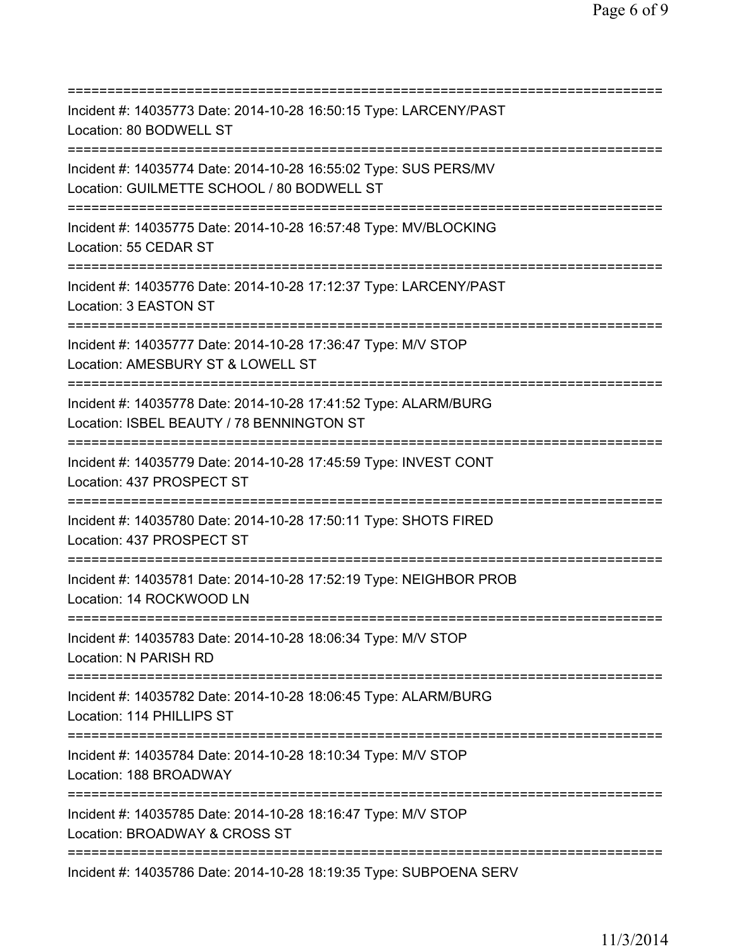| Incident #: 14035773 Date: 2014-10-28 16:50:15 Type: LARCENY/PAST<br>Location: 80 BODWELL ST                           |
|------------------------------------------------------------------------------------------------------------------------|
| Incident #: 14035774 Date: 2014-10-28 16:55:02 Type: SUS PERS/MV<br>Location: GUILMETTE SCHOOL / 80 BODWELL ST         |
| Incident #: 14035775 Date: 2014-10-28 16:57:48 Type: MV/BLOCKING<br>Location: 55 CEDAR ST                              |
| Incident #: 14035776 Date: 2014-10-28 17:12:37 Type: LARCENY/PAST<br>Location: 3 EASTON ST                             |
| Incident #: 14035777 Date: 2014-10-28 17:36:47 Type: M/V STOP<br>Location: AMESBURY ST & LOWELL ST                     |
| Incident #: 14035778 Date: 2014-10-28 17:41:52 Type: ALARM/BURG<br>Location: ISBEL BEAUTY / 78 BENNINGTON ST           |
| Incident #: 14035779 Date: 2014-10-28 17:45:59 Type: INVEST CONT<br>Location: 437 PROSPECT ST                          |
| Incident #: 14035780 Date: 2014-10-28 17:50:11 Type: SHOTS FIRED<br>Location: 437 PROSPECT ST                          |
| :============<br>Incident #: 14035781 Date: 2014-10-28 17:52:19 Type: NEIGHBOR PROB<br>Location: 14 ROCKWOOD LN        |
| Incident #: 14035783 Date: 2014-10-28 18:06:34 Type: M/V STOP<br>Location: N PARISH RD                                 |
| Incident #: 14035782 Date: 2014-10-28 18:06:45 Type: ALARM/BURG<br>Location: 114 PHILLIPS ST                           |
| .--------------------------<br>Incident #: 14035784 Date: 2014-10-28 18:10:34 Type: M/V STOP<br>Location: 188 BROADWAY |
| Incident #: 14035785 Date: 2014-10-28 18:16:47 Type: M/V STOP<br>Location: BROADWAY & CROSS ST                         |
| Incident #: 14035786 Date: 2014-10-28 18:19:35 Type: SUBPOENA SERV                                                     |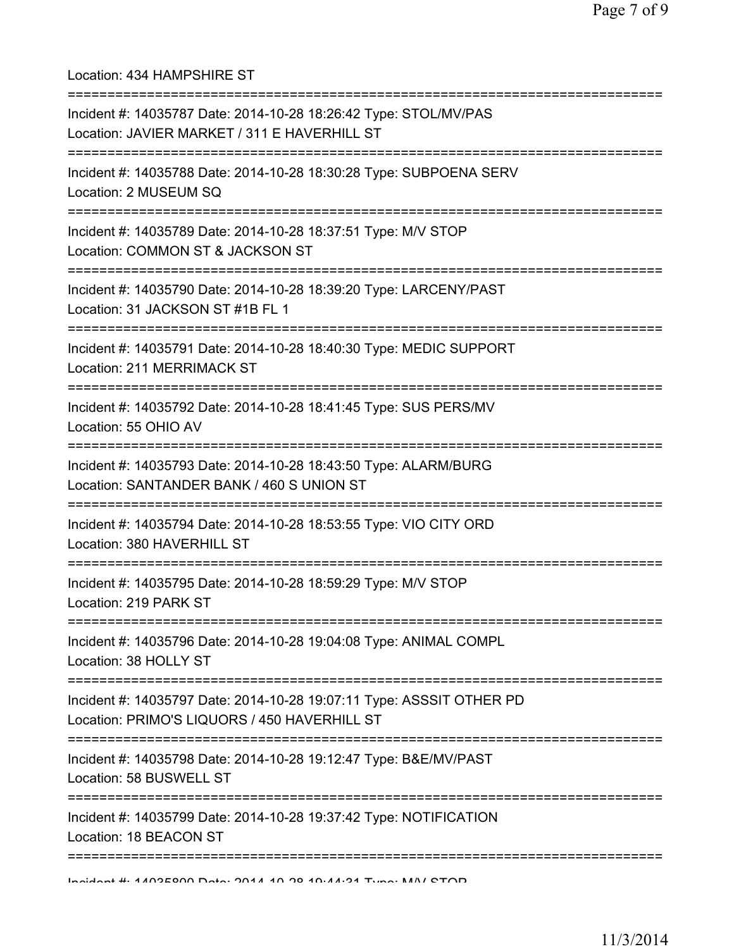Location: 434 HAMPSHIRE ST =========================================================================== Incident #: 14035787 Date: 2014-10-28 18:26:42 Type: STOL/MV/PAS Location: JAVIER MARKET / 311 E HAVERHILL ST =========================================================================== Incident #: 14035788 Date: 2014-10-28 18:30:28 Type: SUBPOENA SERV Location: 2 MUSEUM SQ =========================================================================== Incident #: 14035789 Date: 2014-10-28 18:37:51 Type: M/V STOP Location: COMMON ST & JACKSON ST =========================================================================== Incident #: 14035790 Date: 2014-10-28 18:39:20 Type: LARCENY/PAST Location: 31 JACKSON ST #1B FL 1 =========================================================================== Incident #: 14035791 Date: 2014-10-28 18:40:30 Type: MEDIC SUPPORT Location: 211 MERRIMACK ST =========================================================================== Incident #: 14035792 Date: 2014-10-28 18:41:45 Type: SUS PERS/MV Location: 55 OHIO AV =========================================================================== Incident #: 14035793 Date: 2014-10-28 18:43:50 Type: ALARM/BURG Location: SANTANDER BANK / 460 S UNION ST =========================================================================== Incident #: 14035794 Date: 2014-10-28 18:53:55 Type: VIO CITY ORD Location: 380 HAVERHILL ST =========================================================================== Incident #: 14035795 Date: 2014-10-28 18:59:29 Type: M/V STOP Location: 219 PARK ST =========================================================================== Incident #: 14035796 Date: 2014-10-28 19:04:08 Type: ANIMAL COMPL Location: 38 HOLLY ST =========================================================================== Incident #: 14035797 Date: 2014-10-28 19:07:11 Type: ASSSIT OTHER PD Location: PRIMO'S LIQUORS / 450 HAVERHILL ST =========================================================================== Incident #: 14035798 Date: 2014-10-28 19:12:47 Type: B&E/MV/PAST Location: 58 BUSWELL ST =========================================================================== Incident #: 14035799 Date: 2014-10-28 19:37:42 Type: NOTIFICATION Location: 18 BEACON ST =========================================================================== Incident #: 14035800 Date: 2014 10 28 19:44:31 Type: M/V STOP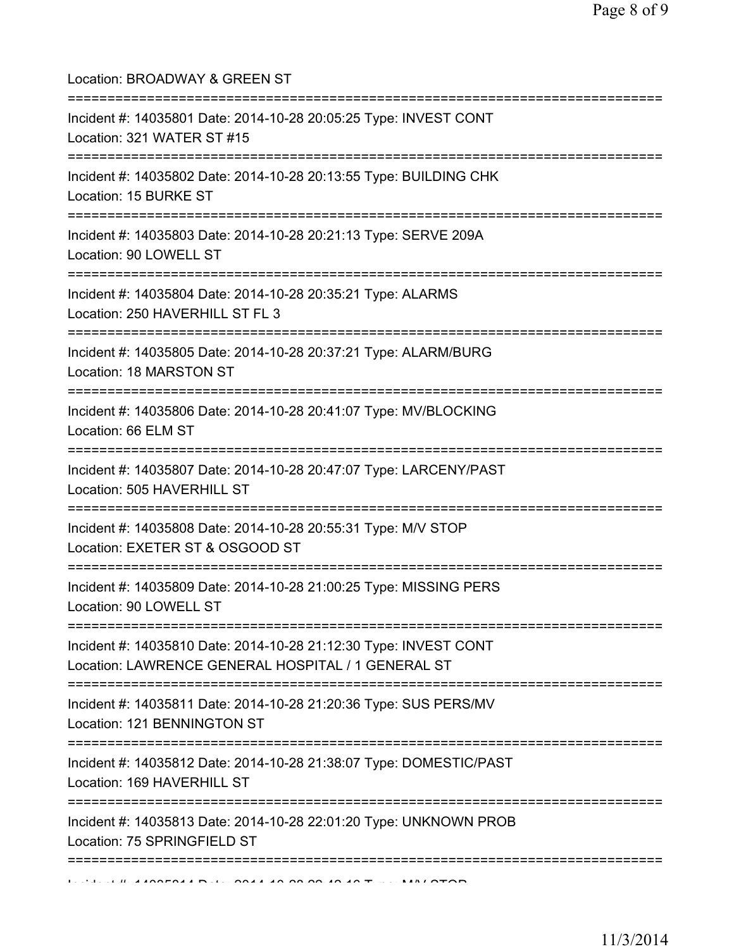| Location: BROADWAY & GREEN ST<br>=====================================                                                               |
|--------------------------------------------------------------------------------------------------------------------------------------|
| Incident #: 14035801 Date: 2014-10-28 20:05:25 Type: INVEST CONT<br>Location: 321 WATER ST #15                                       |
| Incident #: 14035802 Date: 2014-10-28 20:13:55 Type: BUILDING CHK<br>Location: 15 BURKE ST<br>================================       |
| Incident #: 14035803 Date: 2014-10-28 20:21:13 Type: SERVE 209A<br>Location: 90 LOWELL ST                                            |
| Incident #: 14035804 Date: 2014-10-28 20:35:21 Type: ALARMS<br>Location: 250 HAVERHILL ST FL 3                                       |
| =============<br>Incident #: 14035805 Date: 2014-10-28 20:37:21 Type: ALARM/BURG<br>Location: 18 MARSTON ST                          |
| Incident #: 14035806 Date: 2014-10-28 20:41:07 Type: MV/BLOCKING<br>Location: 66 ELM ST                                              |
| Incident #: 14035807 Date: 2014-10-28 20:47:07 Type: LARCENY/PAST<br>Location: 505 HAVERHILL ST                                      |
| Incident #: 14035808 Date: 2014-10-28 20:55:31 Type: M/V STOP<br>Location: EXETER ST & OSGOOD ST                                     |
| =====================================<br>Incident #: 14035809 Date: 2014-10-28 21:00:25 Type: MISSING PERS<br>Location: 90 LOWELL ST |
| Incident #: 14035810 Date: 2014-10-28 21:12:30 Type: INVEST CONT<br>Location: LAWRENCE GENERAL HOSPITAL / 1 GENERAL ST               |
| Incident #: 14035811 Date: 2014-10-28 21:20:36 Type: SUS PERS/MV<br>Location: 121 BENNINGTON ST                                      |
| :===========<br>Incident #: 14035812 Date: 2014-10-28 21:38:07 Type: DOMESTIC/PAST<br>Location: 169 HAVERHILL ST                     |
| Incident #: 14035813 Date: 2014-10-28 22:01:20 Type: UNKNOWN PROB<br>Location: 75 SPRINGFIELD ST                                     |
| ==========================                                                                                                           |